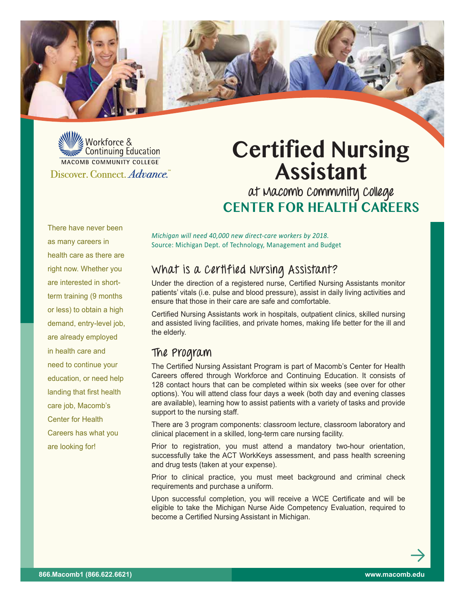

We Workforce & Continuing Education MACOMB COMMUNITY COLLEGE Discover. Connect. Advance.

# **Certified Nursing Assistant**

**at Macomb Community College Center for Health Careers**

There have never been as many careers in health care as there are right now. Whether you are interested in shortterm training (9 months or less) to obtain a high demand, entry-level job, are already employed in health care and need to continue your education, or need help landing that first health care job, Macomb's Center for Health Careers has what you are looking for!

*Michigan will need 40,000 new direct-care workers by 2018.* Source: Michigan Dept. of Technology, Management and Budget

## **What is a Certified Nursing Assistant?**

Under the direction of a registered nurse, Certified Nursing Assistants monitor patients' vitals (i.e. pulse and blood pressure), assist in daily living activities and ensure that those in their care are safe and comfortable.

Certified Nursing Assistants work in hospitals, outpatient clinics, skilled nursing and assisted living facilities, and private homes, making life better for the ill and the elderly.

### **The Program**

The Certified Nursing Assistant Program is part of Macomb's Center for Health Careers offered through Workforce and Continuing Education. It consists of 128 contact hours that can be completed within six weeks (see over for other options). You will attend class four days a week (both day and evening classes are available), learning how to assist patients with a variety of tasks and provide support to the nursing staff.

There are 3 program components: classroom lecture, classroom laboratory and clinical placement in a skilled, long-term care nursing facility.

Prior to registration, you must attend a mandatory two-hour orientation, successfully take the ACT WorkKeys assessment, and pass health screening and drug tests (taken at your expense).

Prior to clinical practice, you must meet background and criminal check requirements and purchase a uniform.

Upon successful completion, you will receive a WCE Certificate and will be eligible to take the Michigan Nurse Aide Competency Evaluation, required to become a Certified Nursing Assistant in Michigan.